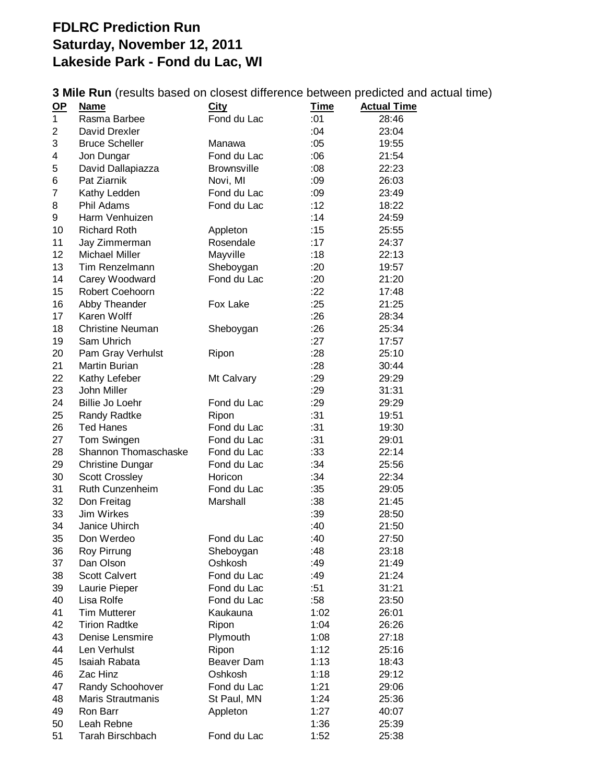## **FDLRC Prediction Run Saturday, November 12, 2011 Lakeside Park - Fond du Lac, WI**

**3 Mile Run** (results based on closest difference between predicted and actual time)

| $OP$ | <b>Name</b>             | City               | <u>Time</u> | <b>Actual Time</b> |
|------|-------------------------|--------------------|-------------|--------------------|
| 1    | Rasma Barbee            | Fond du Lac        | :01         | 28:46              |
| 2    | David Drexler           |                    | :04         | 23:04              |
| 3    | <b>Bruce Scheller</b>   | Manawa             | :05         | 19:55              |
| 4    | Jon Dungar              | Fond du Lac        | :06         | 21:54              |
| 5    | David Dallapiazza       | <b>Brownsville</b> | :08         | 22:23              |
| 6    | Pat Ziarnik             | Novi, MI           | :09         | 26:03              |
| 7    | Kathy Ledden            | Fond du Lac        | :09         | 23:49              |
| 8    | Phil Adams              | Fond du Lac        | :12         | 18:22              |
| 9    | Harm Venhuizen          |                    | :14         | 24:59              |
| 10   | <b>Richard Roth</b>     | Appleton           | :15         | 25:55              |
| 11   | Jay Zimmerman           | Rosendale          | :17         | 24:37              |
| 12   | <b>Michael Miller</b>   | Mayville           | :18         | 22:13              |
| 13   | Tim Renzelmann          | Sheboygan          | :20         | 19:57              |
| 14   | Carey Woodward          | Fond du Lac        | :20         | 21:20              |
| 15   | Robert Coehoorn         |                    | :22         | 17:48              |
| 16   | Abby Theander           | Fox Lake           | :25         | 21:25              |
| 17   | Karen Wolff             |                    | :26         | 28:34              |
| 18   | <b>Christine Neuman</b> | Sheboygan          | :26         | 25:34              |
| 19   | Sam Uhrich              |                    | :27         | 17:57              |
| 20   | Pam Gray Verhulst       | Ripon              | :28         | 25:10              |
| 21   | <b>Martin Burian</b>    |                    | :28         | 30:44              |
| 22   | Kathy Lefeber           | Mt Calvary         | :29         | 29:29              |
| 23   | John Miller             |                    | :29         | 31:31              |
| 24   | Billie Jo Loehr         | Fond du Lac        | :29         | 29:29              |
| 25   | Randy Radtke            | Ripon              | :31         | 19:51              |
| 26   | <b>Ted Hanes</b>        | Fond du Lac        | :31         | 19:30              |
| 27   | Tom Swingen             | Fond du Lac        | :31         | 29:01              |
| 28   | Shannon Thomaschaske    | Fond du Lac        | :33         | 22:14              |
| 29   | <b>Christine Dungar</b> | Fond du Lac        | :34         | 25:56              |
| 30   | <b>Scott Crossley</b>   | Horicon            | :34         | 22:34              |
| 31   | Ruth Cunzenheim         | Fond du Lac        | :35         | 29:05              |
| 32   | Don Freitag             | Marshall           | :38         | 21:45              |
| 33   | Jim Wirkes              |                    | :39         | 28:50              |
| 34   | Janice Uhirch           |                    | :40         | 21:50              |
| 35   | Don Werdeo              | Fond du Lac        | :40         | 27:50              |
| 36   | Roy Pirrung             | Sheboygan          | :48         | 23:18              |
| 37   | Dan Olson               | Oshkosh            | :49         | 21:49              |
| 38   | <b>Scott Calvert</b>    | Fond du Lac        | :49         | 21:24              |
| 39   | Laurie Pieper           | Fond du Lac        | :51         | 31:21              |
| 40   | Lisa Rolfe              | Fond du Lac        | :58         | 23:50              |
| 41   | <b>Tim Mutterer</b>     | Kaukauna           | 1:02        | 26:01              |
| 42   | <b>Tirion Radtke</b>    | Ripon              | 1:04        | 26:26              |
| 43   | Denise Lensmire         | Plymouth           | 1:08        | 27:18              |
| 44   | Len Verhulst            | Ripon              | 1:12        | 25:16              |
| 45   | Isaiah Rabata           | <b>Beaver Dam</b>  | 1:13        | 18:43              |
| 46   | Zac Hinz                | Oshkosh            | 1:18        | 29:12              |
| 47   | Randy Schoohover        | Fond du Lac        | 1:21        | 29:06              |
| 48   | Maris Strautmanis       | St Paul, MN        | 1:24        | 25:36              |
| 49   | Ron Barr                | Appleton           | 1:27        | 40:07              |
| 50   | Leah Rebne              |                    | 1:36        | 25:39              |
| 51   | Tarah Birschbach        | Fond du Lac        | 1:52        | 25:38              |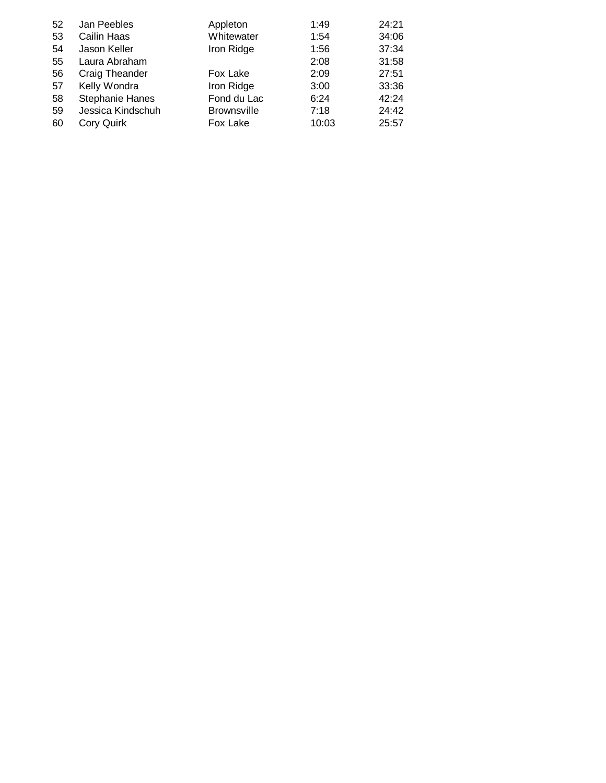| 52<br>53<br>54<br>55<br>56<br>57 | Jan Peebles<br>Cailin Haas<br>Jason Keller<br>Laura Abraham<br>Craig Theander<br>Kelly Wondra | Appleton<br>Whitewater<br>Iron Ridge<br>Fox Lake<br>Iron Ridge | 1:49<br>1:54<br>1:56<br>2:08<br>2:09<br>3:00 | 24:21<br>34:06<br>37:34<br>31:58<br>27:51 |
|----------------------------------|-----------------------------------------------------------------------------------------------|----------------------------------------------------------------|----------------------------------------------|-------------------------------------------|
|                                  |                                                                                               |                                                                |                                              | 33:36                                     |
| 58<br>59<br>60                   | <b>Stephanie Hanes</b><br>Jessica Kindschuh<br>Cory Quirk                                     | Fond du Lac<br><b>Brownsville</b><br>Fox Lake                  | 6:24<br>7:18<br>10:03                        | 42:24<br>24:42<br>25:57                   |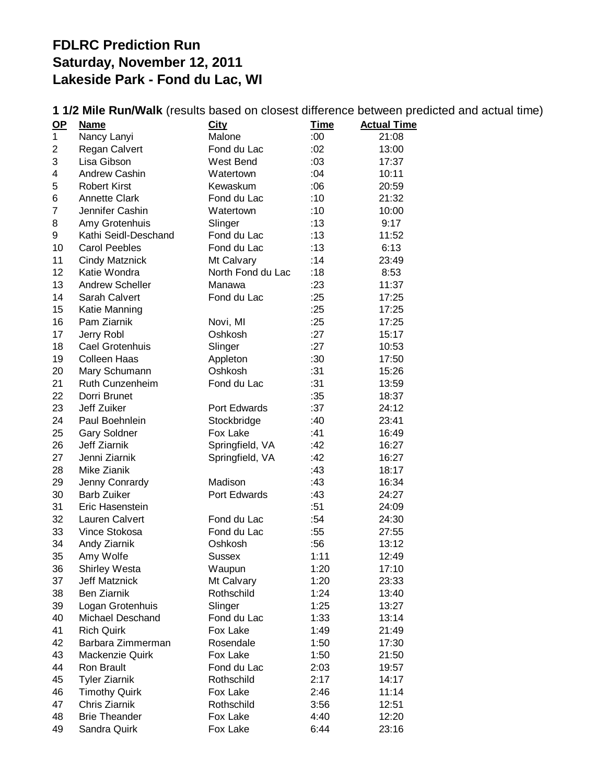## **FDLRC Prediction Run Saturday, November 12, 2011 Lakeside Park - Fond du Lac, WI**

|                |                        |                   |             | <b>I IZ MIIC NUIV WAIN</b> (ICSUIIS DASCU UII GIOSCSI UIIICICIICE DEIWECII PICULICU AIIU ACIUAI II |
|----------------|------------------------|-------------------|-------------|----------------------------------------------------------------------------------------------------|
| <u>OP</u>      | <u>Name</u>            | <b>City</b>       | <u>Time</u> | <b>Actual Time</b>                                                                                 |
| $\mathbf 1$    | Nancy Lanyi            | Malone            | :00:        | 21:08                                                                                              |
| $\overline{2}$ | Regan Calvert          | Fond du Lac       | :02         | 13:00                                                                                              |
| 3              | Lisa Gibson            | West Bend         | :03         | 17:37                                                                                              |
| 4              | Andrew Cashin          | Watertown         | :04         | 10:11                                                                                              |
| 5              | <b>Robert Kirst</b>    | Kewaskum          | :06         | 20:59                                                                                              |
| 6              | <b>Annette Clark</b>   | Fond du Lac       | :10         | 21:32                                                                                              |
| $\overline{7}$ | Jennifer Cashin        | Watertown         | :10         | 10:00                                                                                              |
| 8              | Amy Grotenhuis         | Slinger           | :13         | 9:17                                                                                               |
| 9              | Kathi Seidl-Deschand   | Fond du Lac       | :13         | 11:52                                                                                              |
| 10             | <b>Carol Peebles</b>   | Fond du Lac       | :13         | 6:13                                                                                               |
| 11             | <b>Cindy Matznick</b>  | Mt Calvary        | :14         | 23:49                                                                                              |
| 12             | Katie Wondra           | North Fond du Lac | :18         | 8:53                                                                                               |
| 13             | <b>Andrew Scheller</b> | Manawa            | :23         | 11:37                                                                                              |
| 14             | Sarah Calvert          | Fond du Lac       | :25         | 17:25                                                                                              |
| 15             | Katie Manning          |                   | :25         | 17:25                                                                                              |
| 16             | Pam Ziarnik            | Novi, MI          | :25         | 17:25                                                                                              |
| 17             | Jerry Robl             | Oshkosh           | :27         | 15:17                                                                                              |
| 18             | Cael Grotenhuis        | Slinger           | :27         | 10:53                                                                                              |
| 19             | <b>Colleen Haas</b>    | Appleton          | :30         | 17:50                                                                                              |
| 20             | Mary Schumann          | Oshkosh           | :31         | 15:26                                                                                              |
| 21             | Ruth Cunzenheim        | Fond du Lac       | :31         | 13:59                                                                                              |
| 22             | Dorri Brunet           |                   | :35         | 18:37                                                                                              |
| 23             | Jeff Zuiker            | Port Edwards      | :37         | 24:12                                                                                              |
| 24             | Paul Boehnlein         | Stockbridge       | :40         | 23:41                                                                                              |
| 25             | <b>Gary Soldner</b>    | Fox Lake          | :41         | 16:49                                                                                              |
| 26             | Jeff Ziarnik           | Springfield, VA   | :42         | 16:27                                                                                              |
| 27             | Jenni Ziarnik          | Springfield, VA   | :42         | 16:27                                                                                              |
| 28             | Mike Zianik            |                   | :43         | 18:17                                                                                              |
| 29             | Jenny Conrardy         | Madison           | :43         | 16:34                                                                                              |
| 30             | <b>Barb Zuiker</b>     | Port Edwards      | :43         | 24:27                                                                                              |
| 31             | Eric Hasenstein        |                   | :51         | 24:09                                                                                              |
| 32             | Lauren Calvert         | Fond du Lac       | :54         | 24:30                                                                                              |
| 33             | Vince Stokosa          | Fond du Lac       | :55         | 27:55                                                                                              |
| 34             | Andy Ziarnik           | Oshkosh           | :56         | 13:12                                                                                              |
| 35             | Amy Wolfe              | Sussex            | 1:11        | 12:49                                                                                              |
| 36             | <b>Shirley Westa</b>   | Waupun            | 1:20        | 17:10                                                                                              |
| 37             | <b>Jeff Matznick</b>   | Mt Calvary        | 1:20        | 23:33                                                                                              |
| 38             | <b>Ben Ziarnik</b>     | Rothschild        | 1:24        | 13:40                                                                                              |
| 39             | Logan Grotenhuis       | Slinger           | 1:25        | 13:27                                                                                              |
| 40             | Michael Deschand       | Fond du Lac       | 1:33        | 13:14                                                                                              |
| 41             | <b>Rich Quirk</b>      | Fox Lake          | 1:49        | 21:49                                                                                              |
| 42             | Barbara Zimmerman      | Rosendale         | 1:50        | 17:30                                                                                              |
| 43             | Mackenzie Quirk        | Fox Lake          |             |                                                                                                    |
| 44             | Ron Brault             |                   | 1:50        | 21:50                                                                                              |
|                |                        | Fond du Lac       | 2:03        | 19:57                                                                                              |
| 45<br>46       | <b>Tyler Ziarnik</b>   | Rothschild        | 2:17        | 14:17                                                                                              |
|                | <b>Timothy Quirk</b>   | Fox Lake          | 2:46        | 11:14                                                                                              |
| 47             | Chris Ziarnik          | Rothschild        | 3:56        | 12:51                                                                                              |
| 48             | <b>Brie Theander</b>   | Fox Lake          | 4:40        | 12:20                                                                                              |
| 49             | Sandra Quirk           | Fox Lake          | 6:44        | 23:16                                                                                              |